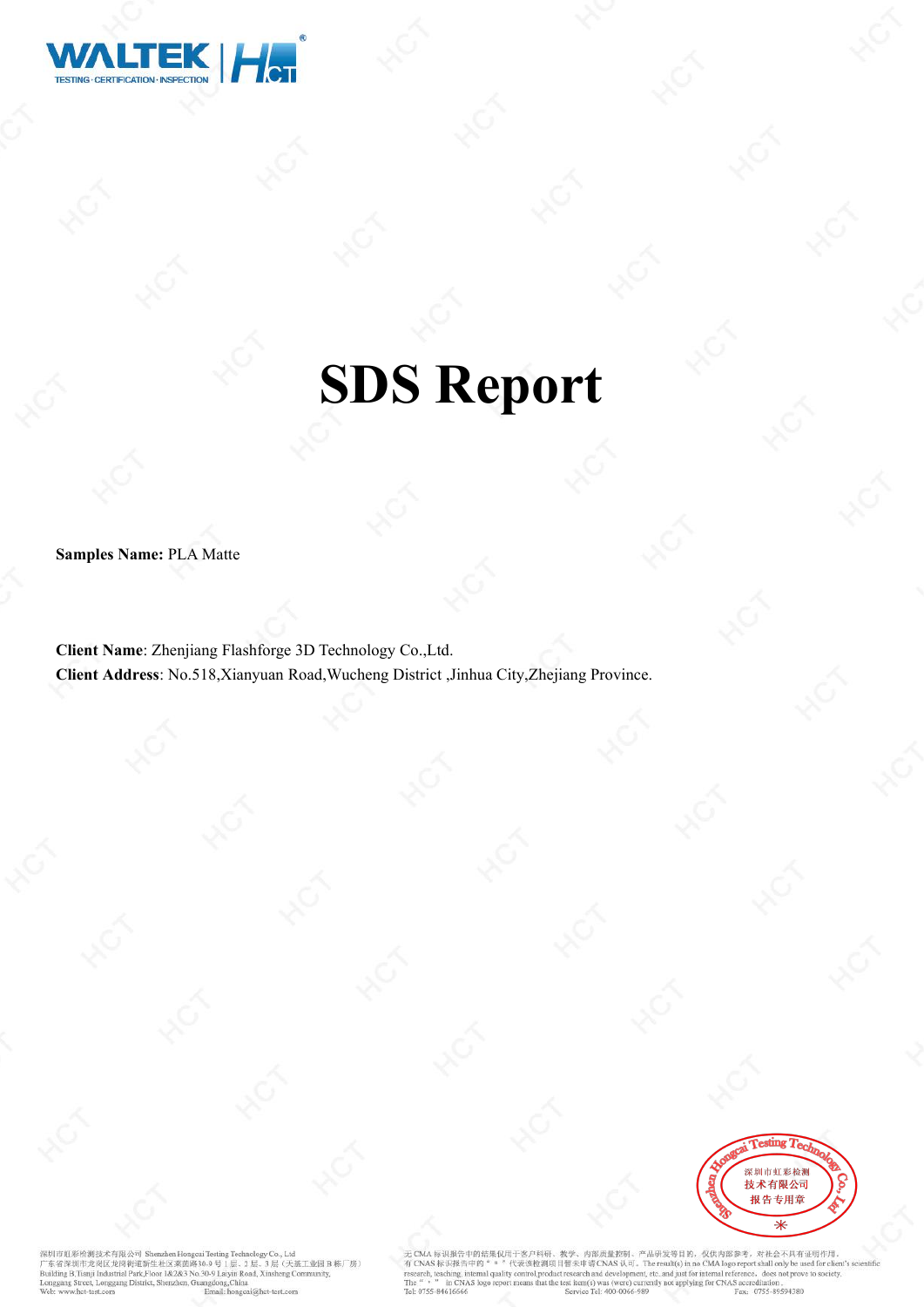

# **SDS Report**

**Samples Name:** PLA Matte

**Client Name**: Zhenjiang Flashforge 3D Technology Co.,Ltd. **Client Address**: No.518,Xianyuan Road,Wucheng District ,Jinhua City,Zhejiang Province.



红彩检测技术有限公司 She zhen H ルプの中でのMaxのAではAのMaximus Account County County County County<br>- 第一次のプログラムのプログラムの<br>Building B,Tianji Industrial Park,Floor 1&2&3 No.30-9 Laiyin Road, Xinsheng Con , Co., Ltd<br>3 层 (天基工业园 B 栋厂房) eet, Longgang District, Shenzhen, Guangdong, China het-test com

CMA 标识报告中的结果仅用于客户科研、教学、内部质量控制、产品研发等目的、仅供内部参考,对社会不具有证明作用。<br>CNAS 标识报告中的" " "代表该检测项目暂未申请 CNAS 认可。The result(s) in no CMA logo report shall only be used for client's sc<br>earch, teaching, internal quality control,product resear The Fax: 0755-89594380 Tel: 0755-84616666 Service Tel: 400-0066-989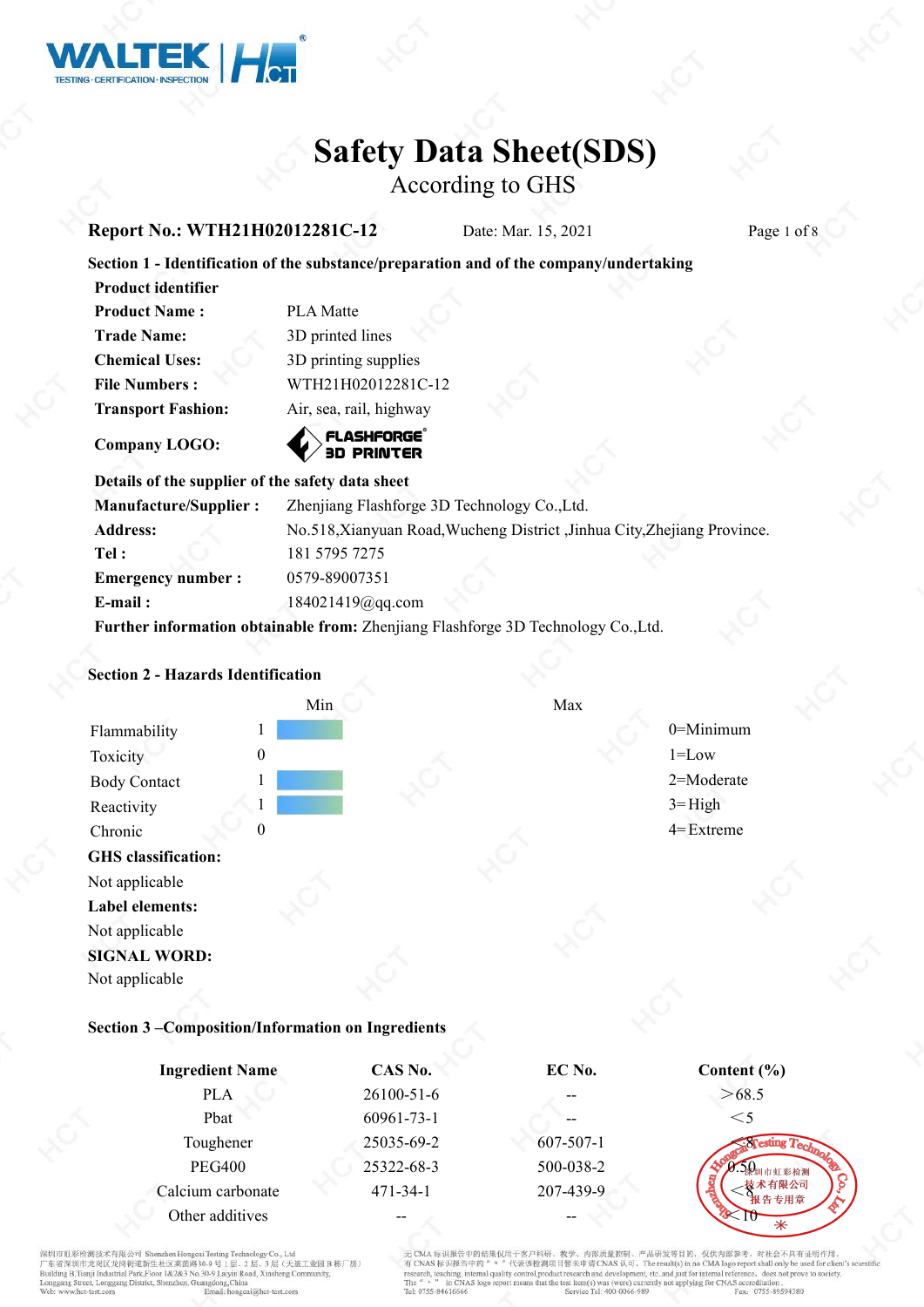

According to GHS

#### **Report No.: WTH21H02012281C-12** Date: Mar. 15, 2021 Page 1 of 8

# **Section 1 - Identification of the substance/preparation and of the company/undertaking**

| 11 Juuli 1901 liiki       |                         |
|---------------------------|-------------------------|
| <b>Product Name:</b>      | <b>PLA</b> Matte        |
| <b>Trade Name:</b>        | 3D printed lines        |
| <b>Chemical Uses:</b>     | 3D printing supplies    |
| <b>File Numbers:</b>      | WTH21H02012281C-12      |
| <b>Transport Fashion:</b> | Air, sea, rail, highway |
|                           |                         |

**Company LOGO:**

**Product identifier**

# **3D PRINTER**

# **Details** of the supplier of the safety data sheet

| <b>Manufacture/Supplier:</b> | Zhenjiang Flashforge 3D Technology Co., Ltd.                                      |  |
|------------------------------|-----------------------------------------------------------------------------------|--|
| <b>Address:</b>              | No.518, Xianyuan Road, Wucheng District, Jinhua City, Zhejiang Province.          |  |
| Tel:                         | 181 5795 7275                                                                     |  |
| <b>Emergency number:</b>     | 0579-89007351                                                                     |  |
| $E$ -mail:                   | $184021419$ @gq.com                                                               |  |
|                              | Further information obtainable from: Zhenjiang Flashforge 3D Technology Co., Ltd. |  |

#### **Section 2 - Hazards Identification**



#### **Section 3 –Composition/Information on Ingredients**

| <b>Ingredient Name</b> | CAS No.          | EC No.          | Content $(\% )$       |
|------------------------|------------------|-----------------|-----------------------|
| <b>PLA</b>             | $26100 - 51 - 6$ |                 | >68.5                 |
| Pbat                   | 60961-73-1       | --              | $\leq$ 5              |
| Toughener              | 25035-69-2       | $607 - 507 - 1$ | $\sin F_{\text{Cov}}$ |
| <b>PEG400</b>          | 25322-68-3       | 500-038-2       | - 煤圳市虹彩检测             |
| Calcium carbonate      | $471 - 34 - 1$   | 207-439-9       | 技术有限公司<br>报告专用章       |
| Other additives        | --               |                 |                       |

红彩检测技术有限公司 Sh ルインスルール (大学) - Start (Separation Compart) - Start (Separation System Assembly Co., 2 民 (天涯)<br>- 京名深圳市龙岗区龙岗街道新生社区莱茵路30-9 号 1 民 、2 民 、3 民 (天涯)<br>uilding B,Tianji Industrial Park,Floor 1&2&3 No.30-9 Laiyin Road, Xinsheng Con し。、<br>|层 (天基工业园B栋厂房) eet, Longgang District, Shenzhen, Guangdong, China

中的结果仅用于客户科研 品研发等目的、仅供内部参考、对社会不具有证明作用。 - habels 4th (#1.10): (b) ; CMA 移动程音甲的在来以用于客户转时。教学、片部成重形型,广油研究等自的,这些内容的AS Ready<br>CNAS 标识报告中的 " 。 "代表送检测项目暂未申请CNAS 认可。The result(s) in no CMA logo report shall only be used for client's s<br>search, teaching, internal quality control,product research that the test item(s) was (were) currently not applying for CNAS accreditation in CNAS logo rep Fax: 0755-89594380 Tel: 0755-84616666 Service Tel: 400-0066-989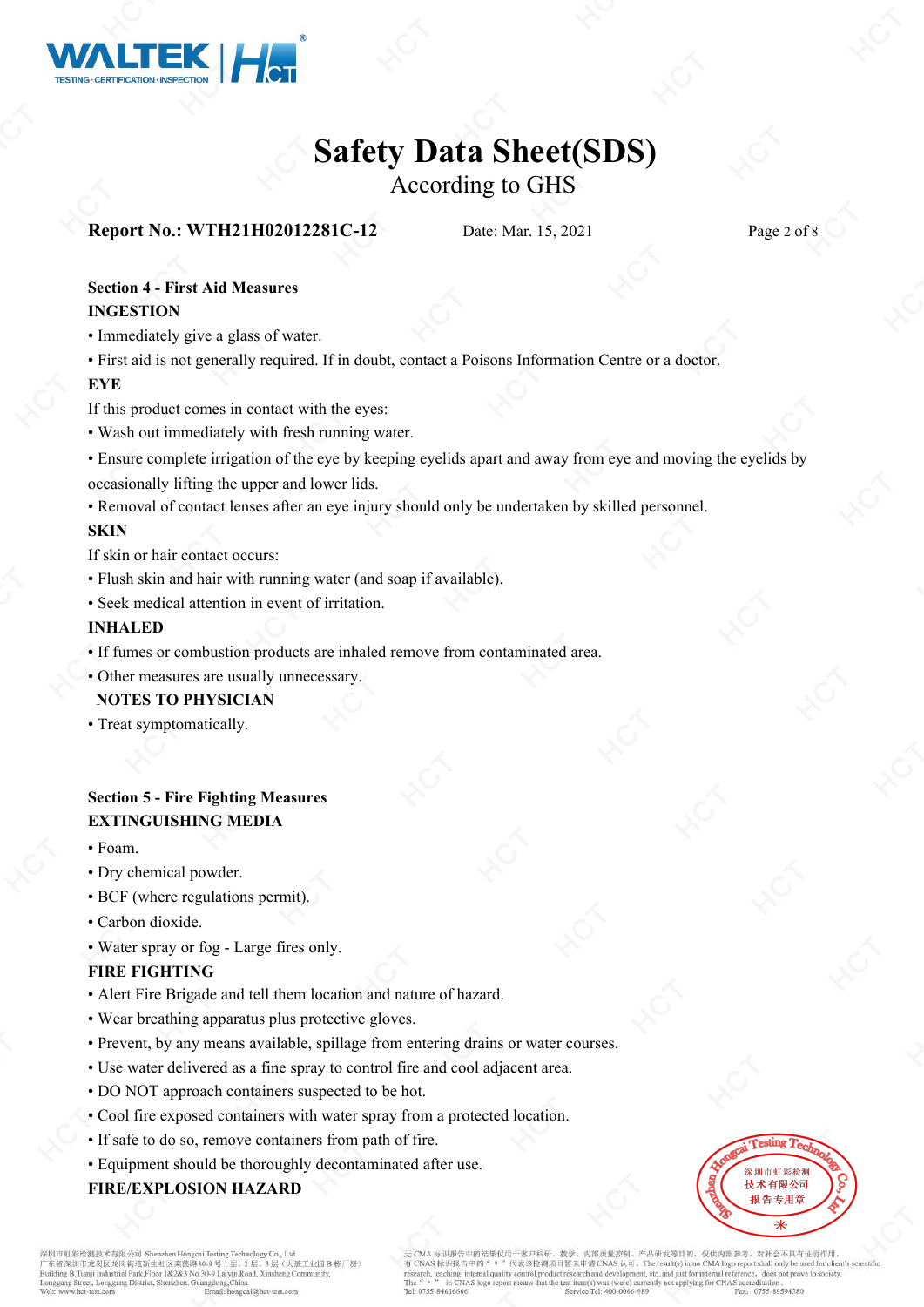

According to GHS

# **Report No.: WTH21H02012281C-12** Date: Mar. 15, 2021 Page 2 of 8

### **Section 4 - First Aid Measures INGESTION**

- Immediately give a glass of water.
- First aid is not generally required. If in doubt, contact a Poisons Information Centre or a doctor.

#### **EYE**

If this product comes in contact with the eyes:

- Wash out immediately with fresh running water.
- Ensure complete irrigation of the eye by keeping eyelids apart and away from eye and moving the eyelids by occasionally lifting the upper and lower lids.
- Removal of contact lenses after an eye injury should only be undertaken by skilled personnel.

### **SKIN**

If skin or hair contact occurs:

- Flush skin and hair with running water (and soap if available).
- Seek medical attention in event of irritation.

#### **INHALED**

• If fumes or combustion products are inhaled remove from contaminated area.

• Other measures are usually unnecessary. **NOTES TO PHYSICIAN**

• Treat symptomatically.

### **Section 5 - Fire Fighting Measures EXTINGUISHING MEDIA**

- Foam.
- Dry chemical powder.
- BCF (where regulations permit).
- Carbon dioxide.
- Water spray or fog Large fires only.

### **FIRE FIGHTING**

- Alert Fire Brigade and tell them location and nature of hazard.
- Wear breathing apparatus plus protective gloves.
- Prevent, by any means available, spillage from entering drains or water courses.
- Use water delivered as a fine spray to control fire and cool adjacent area.
- DO NOT approach containers suspected to be hot.
- Cool fire exposed containers with water spray from a protected location.
- If safe to do so, remove containers from path of fire.
- Equipment should be thoroughly decontaminated after use.

## **FIRE/EXPLOSION HAZARD**



影检测技术有限公司 Sh ルインスルール (大学) - Start (Separation Compart) - Start (Separation System Assembly Co., 2 民 (天涯)<br>- 京名深圳市龙岗区龙岗街道新生社区莱茵路30-9 号 1 民 、2 民 、3 民 (天涯)<br>uilding B,Tianji Industrial Park,Floor 1&2&3 No.30-9 Laiyin Road, Xinsheng Con reet, Longgang District, Shenzhen, Guangdong, China

内部质量控制、产品研发等目的、仅供内部参考、对社会不具有证明作用 中的结果仅用于案户科研。 CNAS  $k$ <sub>3</sub> EACH Travel Associated the second of the second section of the results in no CNA logo report shall only be used for<br>carch, teaching, internal quality control, product research and development, etc. and just fo in CNAS logo at the test item(s) was (were) currently not applying for CNAS accreditation Fax: 0755-89594380 Tel: 0755-84616666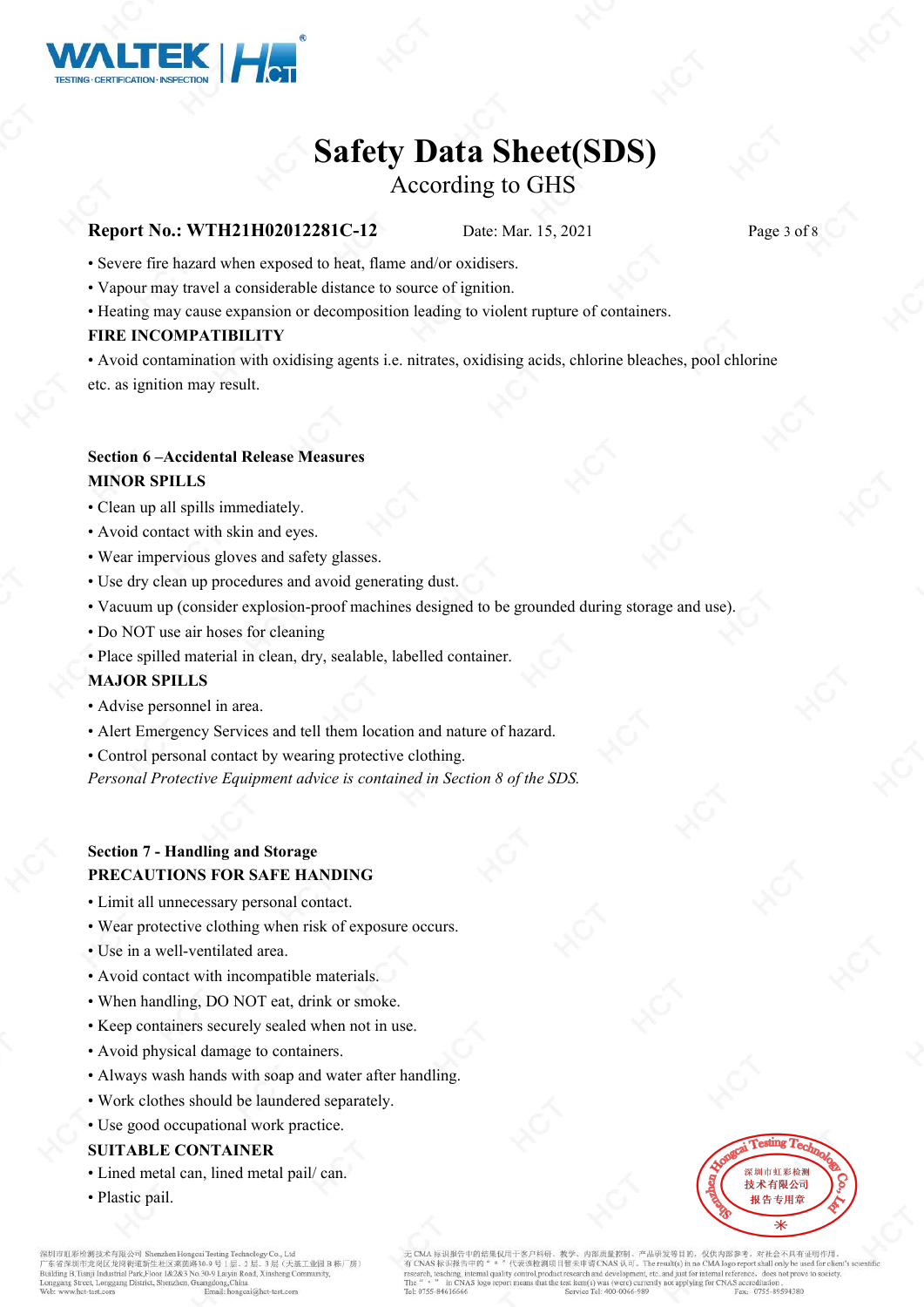

# According to GHS

#### **Report No.: WTH21H02012281C-12** Date: Mar. 15, 2021 Page 3 of 8

- Severe fire hazard when exposed to heat, flame and/or oxidisers.
- Vapour may travel a considerable distance to source of ignition.
- Heating may cause expansion or decomposition leading to violent rupture of containers.

#### **FIRE INCOMPATIBILITY**

• Avoid contamination with oxidising agents i.e. nitrates, oxidising acids, chlorine bleaches, pool chlorine etc. as ignition may result.

#### **Section 6 –Accidental Release Measures MINOR SPILLS**

- Clean up all spills immediately.
- Avoid contact with skin and eyes.
- Wear impervious gloves and safety glasses.
- Use dry clean up procedures and avoid generating dust.
- Vacuum up (consider explosion-proof machines designed to be grounded during storage and use).
- Do NOT use air hoses for cleaning
- Place spilled material in clean, dry, sealable, labelled container.

#### **MAJOR SPILLS**

- Advise personnel in area.
- Alert Emergency Services and tell them location and nature of hazard.
- Control personal contact by wearing protective clothing.

*Personal Protective Equipment advice is contained in Section 8 of the SDS.*

### **Section 7 - Handling and Storage PRECAUTIONS FOR SAFE HANDING**

- Limit all unnecessary personal contact.
- Wear protective clothing when risk of exposure occurs.
- Use in a well-ventilated area.
- Avoid contact with incompatible materials.
- When handling, DO NOT eat, drink or smoke.
- Keep containers securely sealed when not in use.
- Avoid physical damage to containers.
- Always wash hands with soap and water after handling.
- Work clothes should be laundered separately.
- Use good occupational work practice.

#### **SUITABLE CONTAINER**

- Lined metal can, lined metal pail/ can.
- Plastic pail.



的解释术有限公司 Sh 明申虹&%被测技本有报公司 Shenzhen Hongeau Testing Technology Co., Ltd<br>东省深圳市龙岗区龙岗街道新生社区莱茵路30.9 号 1 层、2 层、3 层、天逝<br>ilding B,Tianji Industrial Park,Floor 1&2&3 No.30-9 Laiyin Road, Xinsheng Co 层(天基工业园B栋厂房) et Longgang District, Shenzhen, Guangdong China

内部质量控制、产品研发等目的、仅供内部参考、对社会不具有证明作用 印报告中的结果仅用于安户科研。 S标识报告中的 arch, teaching, internal quality in CNAS log the test item(s) was (were) currently not applying for CNAS accreditation Fax: 0755-89594380 rel: 0755-8461666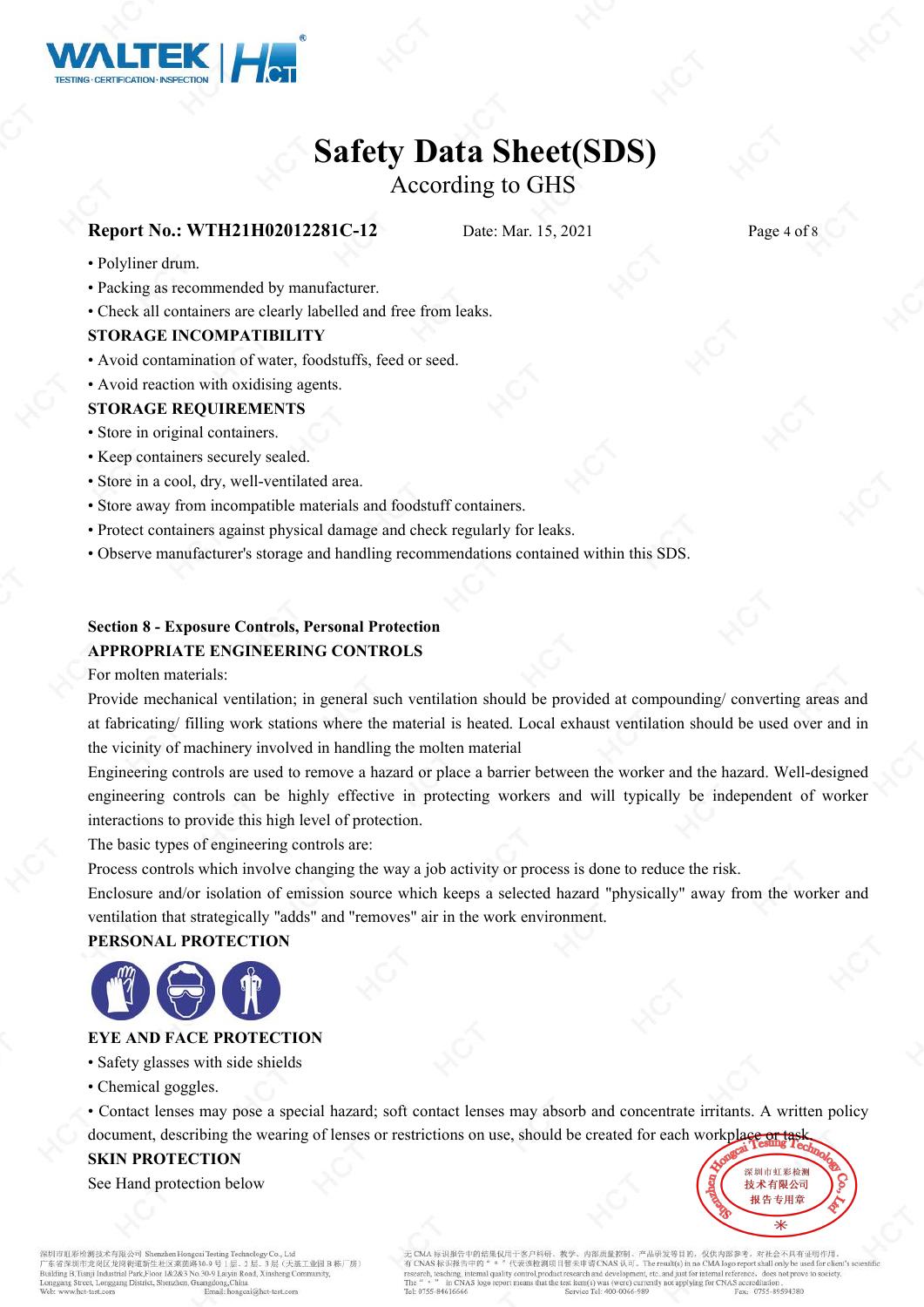

According to GHS

# **Report No.: WTH21H02012281C-12** Date: Mar. 15, 2021 Page 4 of 8

- Polyliner drum.
- Packing as recommended by manufacturer.
- Check all containers are clearly labelled and free from leaks.

#### **STORAGE INCOMPATIBILITY**

- Avoid contamination of water, foodstuffs, feed or seed.
- Avoid reaction with oxidising agents.

#### **STORAGE REQUIREMENTS**

- Store in original containers.
- Keep containers securely sealed.
- Store in a cool, dry, well-ventilated area.
- Store away from incompatible materials and foodstuff containers.
- Protect containers against physical damage and check regularly for leaks.
- Observe manufacturer's storage and handling recommendations contained within this SDS.

#### **Section 8 - Exposure Controls, Personal Protection APPROPRIATE ENGINEERING CONTROLS**

#### For molten materials:

Provide mechanical ventilation; in general such ventilation should be provided at compounding/ converting areas and at fabricating/ filling work stations where the material is heated. Local exhaust ventilation should be used over and in the vicinity of machinery involved in handling the molten material

Engineering controls are used to remove a hazard or place a barrier between the worker and the hazard. Well-designed engineering controls can be highly effective in protecting workers and will typically be independent of worker interactions to provide this high level of protection.

The basic types of engineering controls are:

Process controls which involve changing the way a job activity or process is done to reduce the risk.

Enclosure and/or isolation of emission source which keeps a selected hazard "physically" away from the worker and ventilation that strategically "adds" and "removes" air in the work environment.

#### **PERSONAL PROTECTION**



#### **EYE AND FACE PROTECTION**

- Safety glasses with side shields
- Chemical goggles.
- Contact lenses may pose a special hazard; soft contact lenses may absorb and concentrate irritants. A written policy
- document, describing the wearing of lenses or restrictions on use, should be created for each workplace or task

#### **SKIN PROTECTION**

See Hand protection below

红彩检测技术有限公司 Sh し。、<br>|层 (天基工业园B栋厂房) reet, Longgang District, Shenzhen, Guangdong, China Email: honeca

内部质量控制、产品研发等目的, 仅供内部参考, 对社会不具有证明作用 标识报告中的结果仅用于奖户科研 CNAS WARE THE 1991 WAS ARRESTED FOR A SUBSECTION OF THE TEST OF A LOCAL DRUG TO THE TEST OF THE CONSULTATION OF THE TEST OF THE TEST OF THE TEST OF THE TEST OF THE TEST OF THE TEST OF THE TEST OF THE TEST OF THE TEST OF T in CNAS logo at the test item(s) was (were) currently not applying for CNAS accreditation Fax: 0755-89594380 Tel: 0755-84616666

深圳市虹彩检测 技术有限公司 报告专用章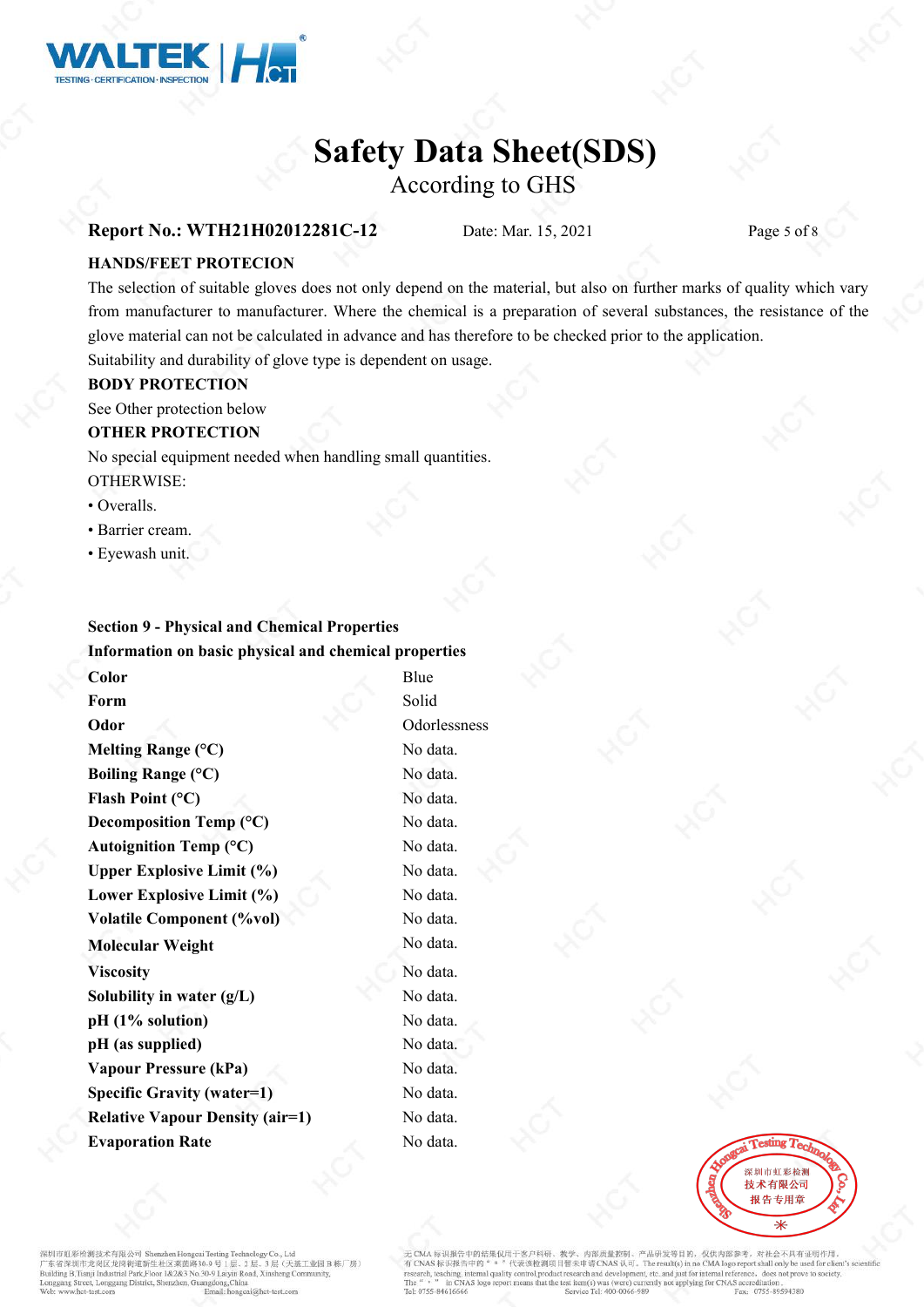

According to GHS

#### **Report No.: WTH21H02012281C-12** Date: Mar. 15, 2021 Page 5 of 8

#### **HANDS/FEET PROTECION**

The selection of suitable gloves does not only depend on the material, but also on further marks of quality which vary from manufacturer to manufacturer. Where the chemical is a preparation of several substances, the resistance of the glove material can not be calculated in advance and has therefore to be checked prior to the application.

Suitability and durability of glove type is dependent on usage.

#### **BODY PROTECTION**

See Other protection below

#### **OTHER PROTECTION**

No special equipment needed when handling small quantities. OTHERWISE:

- Overalls.
- Barrier cream.
- Eyewash unit.

### **Section 9 - Physical and Chemical Properties Information on basic physical and chemical properties**

**Color** Blue **Form** Solid Solid **Odor** Odorlessness **Melting Range** (°C) No data. **Boiling Range** (°C) No data. **Flash Point** (°C) No data. **Decomposition Temp (°C)** No data. Autoignition Temp (°C) No data. **Upper Explosive Limit**  $(\%)$  **No data. Lower Explosive Limit**  $(\%)$  **No data. Volatile Component (%vol)** No data. **Molecular Weight** No data. **Viscosity** No data. **Solubility in water** (g/L) No data. **pH (1% solution)** No data. **pH (as supplied)** No data. **Vapour Pressure (kPa)** No data. **Specific Gravity (water=1)** No data. **Relative Vapour Density (air=1)** No data. **Evaporation Rate** No data.



**们要检测技术有限公司 Sh** がいる人がありませんが、この中には、実質路30.9 号 1 层、2 层、3 层(天地)<br>- 京省深圳市龙岗区龙岗街道新生社区莱茵路30.9 号 1 层、2 层、3 层(天地<br>illding B,Tianji Industrial Park,Floor 1&2&3 No.30-9 Laiyin Road, Xinsheng Co 层(天基工业园B栋厂房) et, Longgang District, Shenzhen, Guangdong, China

内部质量控制、产品研发等目的, 仅供内部参考, 对社会不具有证明作用 标识报告中的结果仅用于客户科研、 CMA 标识执行中的拓举以用于各户移向。 教学、时间加重的规则,广治研究等自闭,仅仅内部参考,对社会不共有业的内<br>CNAS 标识报告中的 " 。 "代表该检测项目暂未申请 CNAS 认可。The result(s) in no CMA logo report shall only be used for clier<br>carch, teaching, internal quality control,product research an in CNAS logo at the test item(s) was (were) currently not applying for CNAS accreditation Fax: 0755-89594380 Tel: 0755-84616666 Service Tel: 400-0066-989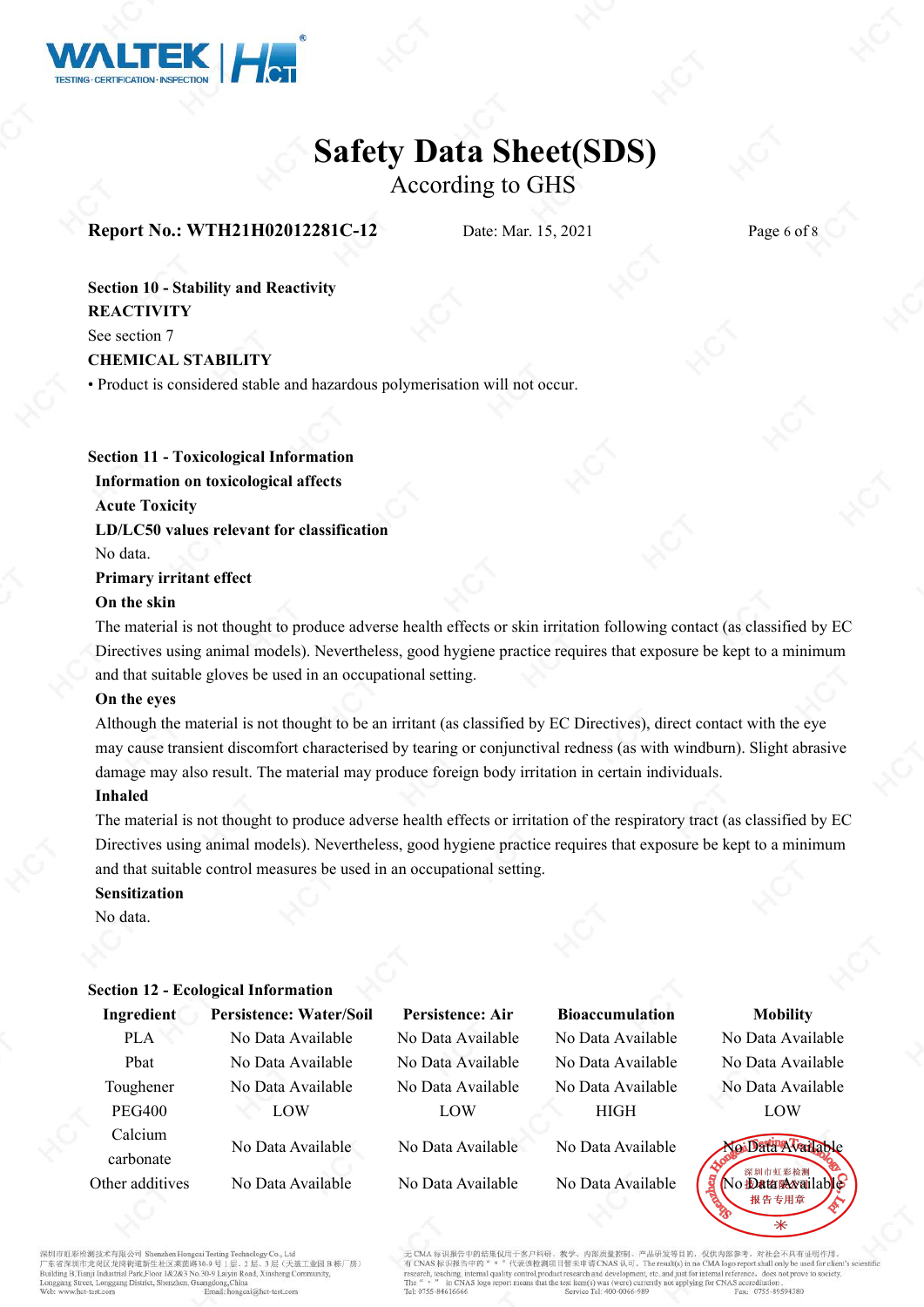

According to GHS

### **Report No.: WTH21H02012281C-12** Date: Mar. 15, 2021 Page 6 of 8

**Section 10 - Stability and Reactivity REACTIVITY** See section 7

**CHEMICAL STABILITY**

• Product is considered stable and hazardous polymerisation will not occur.

**Section 11 - Toxicological Information Information on toxicological affects Acute Toxicity LD/LC50 values relevant for classification** No data. **Primary irritant effect**

#### **On the skin**

The material is not thought to produce adverse health effects orskin irritation following contact (as classified by EC Directives using animal models). Nevertheless, good hygiene practice requires that exposure be kept to a minimum and that suitable gloves be used in an occupational setting.

#### **On the eyes**

Although the material is not thought to be an irritant (as classified by EC Directives), direct contact with the eye may cause transient discomfort characterised by tearing or conjunctival redness (as with windburn). Slight abrasive damage may also result. The material may produce foreign body irritation in certain individuals.

#### **Inhaled**

The material is not thought to produce adverse health effects or irritation of the respiratory tract (as classified by EC Directives using animal models). Nevertheless, good hygiene practice requires that exposure be kept to a minimum and that suitable control measures be used in an occupational setting.

#### **Sensitization**

No data.

|                 | <b>Section 12 - Ecological Information</b> |                         |                        |                            |  |
|-----------------|--------------------------------------------|-------------------------|------------------------|----------------------------|--|
| Ingredient      | <b>Persistence: Water/Soil</b>             | <b>Persistence: Air</b> | <b>Bioaccumulation</b> | <b>Mobility</b>            |  |
| <b>PLA</b>      | No Data Available                          | No Data Available       | No Data Available      | No Data Available          |  |
| Phat            | No Data Available                          | No Data Available       | No Data Available      | No Data Available          |  |
| Toughener       | No Data Available                          | No Data Available       | No Data Available      | No Data Available          |  |
| <b>PEG400</b>   | LOW                                        | LOW                     | <b>HIGH</b>            | LOW                        |  |
| Calcium         | No Data Available                          | No Data Available       | No Data Available      | NoiData Available          |  |
| carbonate       |                                            |                         |                        |                            |  |
| Other additives | No Data Available                          | No Data Available       | No Data Available      | No Data <b>Wara</b> ilable |  |
|                 |                                            |                         |                        | 报 告 专用章                    |  |

**红彩检测技术有限公司 SI** 市龙岗区龙岗街道新生社区莱茵路30-·<br>基工业园B 栋厂房) ilding B.Tianji Industrial Park, Floor 1&2&3 No.30-9 Laiyin Road, Xinshe et Longgang District, Shenzhen, Guang ong China

中的结果仅用于发户科研 风研发等日的,仅供内部参考。 对社会不具有证明作用 代表该检测项目暂未 AS  $\frac{1}{2}$ , The result(s) in no CMA logo report shall only be use 中的 arch, teaching, internal quality duct research and develop it etc. and just for internal refer ence, does not prove to so in CNAS log the test item(s) was (were) currently not applying for CNAS accreditation 0755-89594380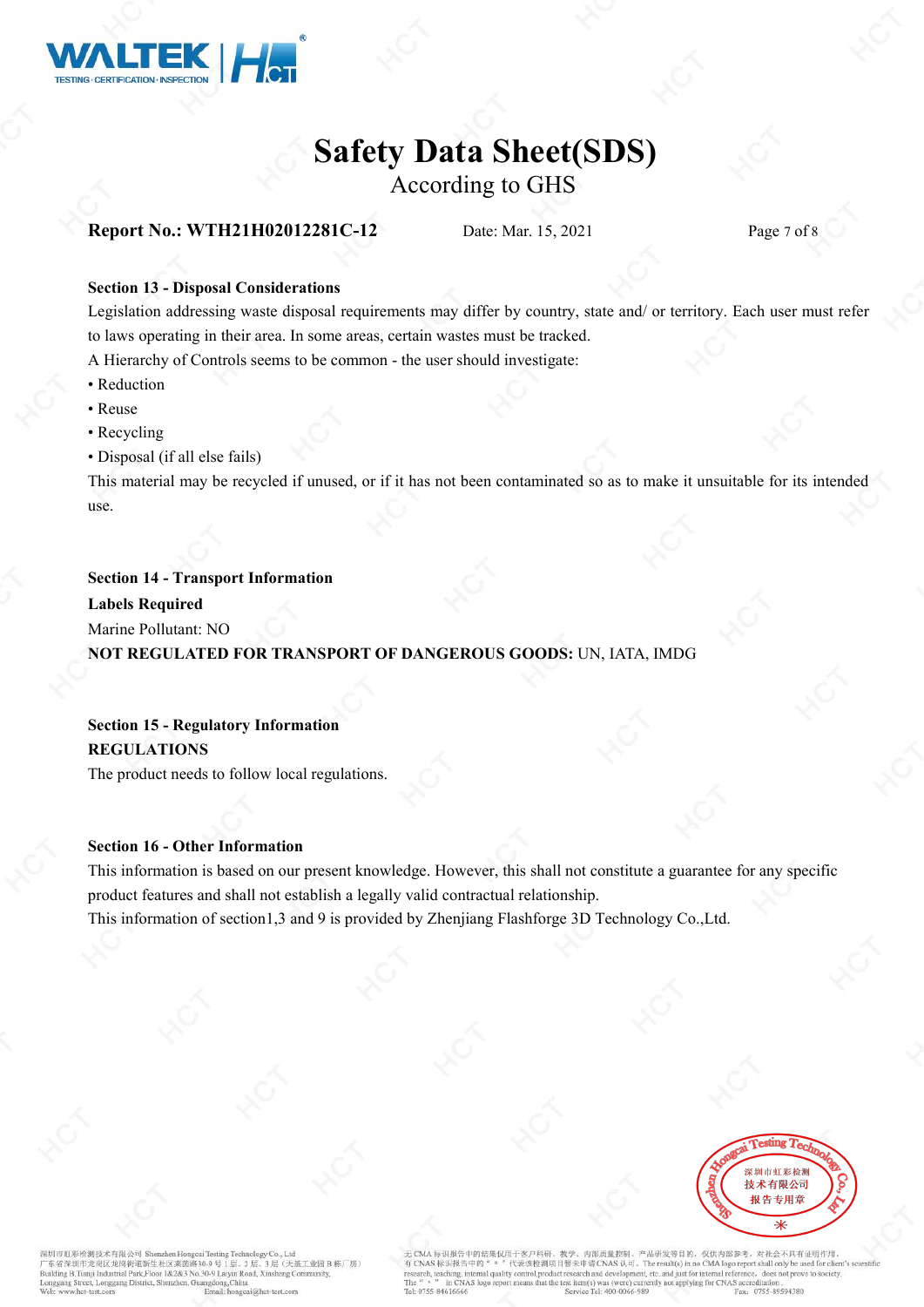

According to GHS

## **Report No.: WTH21H02012281C-12** Date: Mar. 15, 2021 Page 7 of 8

#### **Section 13 - Disposal Considerations**

Legislation addressing waste disposal requirements may differ by country, state and/ or territory. Each user mustrefer to laws operating in their area. In some areas, certain wastes must be tracked.

A Hierarchyof Controls seems to be common - the user should investigate:

- Reduction
- Reuse
- Recycling
- Disposal (if all else fails)

This material may be recycled if unused, or if it has not been contaminated so as to make it unsuitable for its intended use.

#### **Section 14 - Transport Information**

**Labels Required**

Marine Pollutant: NO

**NOT REGULATED FOR TRANSPORT OF DANGEROUS GOODS:**UN, IATA, IMDG

# **Section 15 - Regulatory Information REGULATIONS**

The product needs to follow local regulations.

#### **Section 16 - Other Information**

This information is based on our present knowledge. However, this shall not constitute a guarantee for any specific product features and shall not establish a legally valid contractual relationship.

This information of section1,3 and 9 is provided by Zhenjiang Flashforge 3D Technology Co.,Ltd.



彩检测技术有限公司 Sh stru al.をiw.6332.4-71 RCA =/ Sucurated Hougear Icsung<br>东省深圳市龙岗区龙岗街道新生社区莱茵路30-9 号 1 /<br>ilding B,Tianji Industrial Park,Floor 1&2&3 No.30-9 Laiy ·<br>基工业园B 栋厂房) in Road, Xinsh et, Longgang District, Shenzhen, Guar ng.China

内部后量控制、产品研发等目的、仅供内部参考。 国际中发汗国小型封闭 对社会不具有证明作用  $\begin{array}{ll}\n\text{If } \frac{1}{2} \text{ if } \frac{1}{2} \text{ if } \frac{1}{2} \text{ if } \frac{1}{2} \text{ if } \frac{1}{2} \text{ if } \frac{1}{2} \text{ if } \frac{1}{2} \text{ if } \frac{1}{2} \text{ if } \frac{1}{2} \text{ if } \frac{1}{2} \text{ if } \frac{1}{2} \text{ if } \frac{1}{2} \text{ if } \frac{1}{2} \text{ if } \frac{1}{2} \text{ if } \frac{1}{2} \text{ if } \frac{1}{2} \text{ if } \frac{1}{2} \text{ if } \frac{$ 代表该检测项目暂未申 中的 arch, teaching, internal quality in CNAS log the test item(s) was (were) currently not applying for CNAS accreditation Fax: 0755-89594380 rel: 0755-8461666